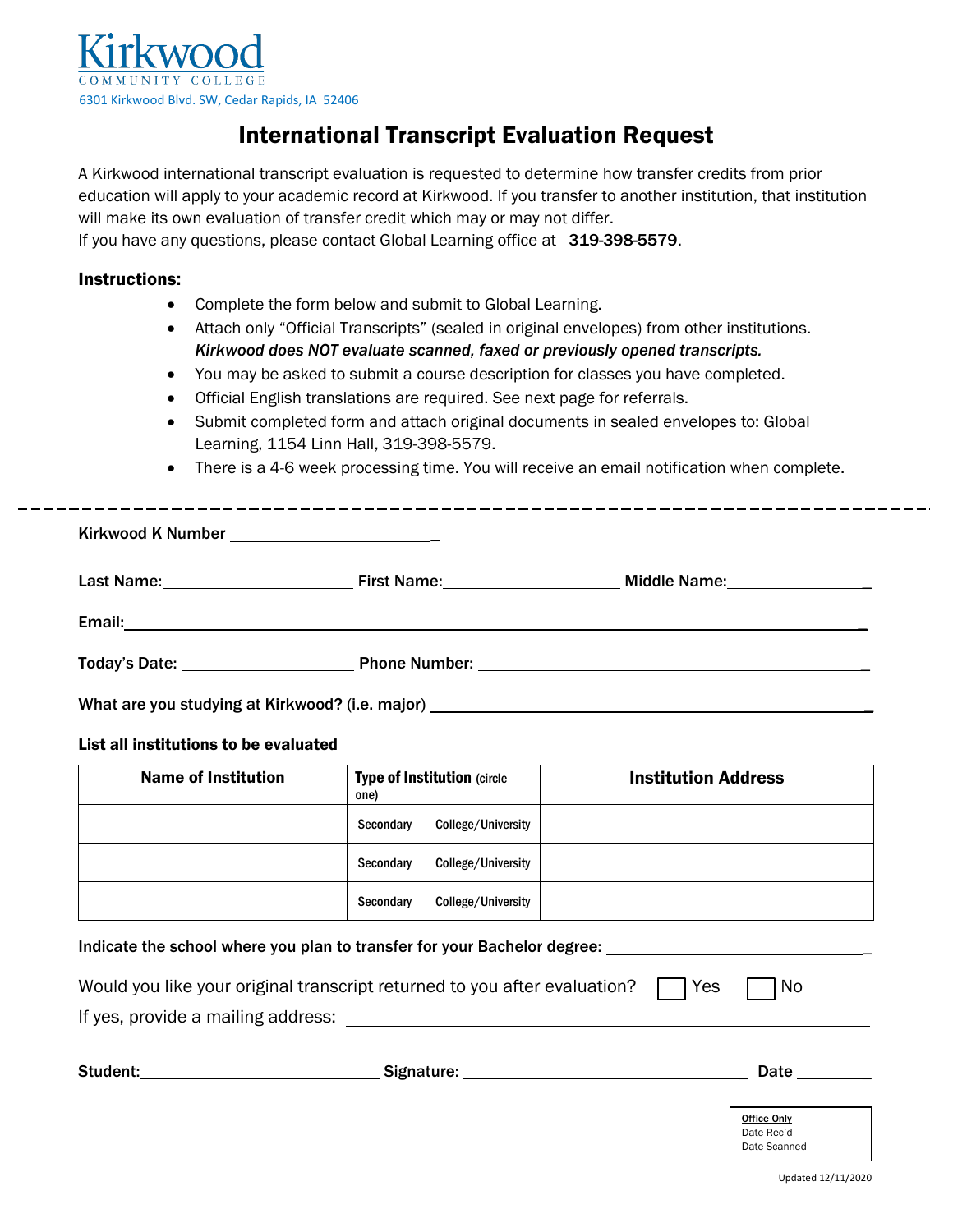

# International Transcript Evaluation Request

A Kirkwood international transcript evaluation is requested to determine how transfer credits from prior education will apply to your academic record at Kirkwood. If you transfer to another institution, that institution will make its own evaluation of transfer credit which may or may not differ.

If you have any questions, please contact Global Learning office at 319-398-5579.

## Instructions:

- Complete the form below and submit to Global Learning.
- Attach only "Official Transcripts" (sealed in original envelopes) from other institutions. *Kirkwood does NOT evaluate scanned, faxed or previously opened transcripts.*
- You may be asked to submit a course description for classes you have completed.
- Official English translations are required. See next page for referrals.
- Submit completed form and attach original documents in sealed envelopes to: Global Learning, 1154 Linn Hall, 319-398-5579.
- There is a 4-6 week processing time. You will receive an email notification when complete.

|                                                                                                                                                                                                                                   | First Name: Name and Name and Name and Name and Name and Name and Name and Name and Name and Name and Name and N | Middle Name: Middle Name: |
|-----------------------------------------------------------------------------------------------------------------------------------------------------------------------------------------------------------------------------------|------------------------------------------------------------------------------------------------------------------|---------------------------|
|                                                                                                                                                                                                                                   |                                                                                                                  |                           |
|                                                                                                                                                                                                                                   |                                                                                                                  |                           |
| $\mathbf{r}$ , and the contract of the contract of the contract of the contract of the contract of the contract of the contract of the contract of the contract of the contract of the contract of the contract of the contract o |                                                                                                                  |                           |

What are you studying at Kirkwood? (i.e. major) \_\_

## List all institutions to be evaluated

| <b>Name of Institution</b> | <b>Type of Institution (circle</b><br>one) |                    | <b>Institution Address</b> |
|----------------------------|--------------------------------------------|--------------------|----------------------------|
|                            | Secondary                                  | College/University |                            |
|                            | Secondary                                  | College/University |                            |
|                            | Secondary                                  | College/University |                            |

Indicate the school where you plan to transfer for your Bachelor degree: \_ Would you like your original transcript returned to you after evaluation?  $\Box$  Yes  $\Box$  No If yes, provide a mailing address:

| Student: | Signature: | Date                                      |
|----------|------------|-------------------------------------------|
|          |            | Office Only<br>Date Rec'd<br>Date Scanned |